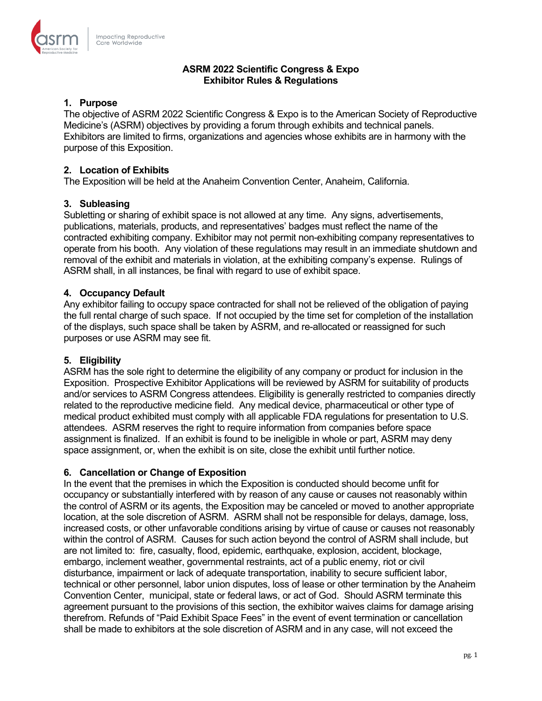

## **ASRM 2022 Scientific Congress & Expo Exhibitor Rules & Regulations**

# **1. Purpose**

The objective of ASRM 2022 Scientific Congress & Expo is to the American Society of Reproductive Medicine's (ASRM) objectives by providing a forum through exhibits and technical panels. Exhibitors are limited to firms, organizations and agencies whose exhibits are in harmony with the purpose of this Exposition.

# **2. Location of Exhibits**

The Exposition will be held at the Anaheim Convention Center, Anaheim, California.

# **3. Subleasing**

Subletting or sharing of exhibit space is not allowed at any time. Any signs, advertisements, publications, materials, products, and representatives' badges must reflect the name of the contracted exhibiting company. Exhibitor may not permit non-exhibiting company representatives to operate from his booth. Any violation of these regulations may result in an immediate shutdown and removal of the exhibit and materials in violation, at the exhibiting company's expense. Rulings of ASRM shall, in all instances, be final with regard to use of exhibit space.

# **4. Occupancy Default**

Any exhibitor failing to occupy space contracted for shall not be relieved of the obligation of paying the full rental charge of such space. If not occupied by the time set for completion of the installation of the displays, such space shall be taken by ASRM, and re-allocated or reassigned for such purposes or use ASRM may see fit.

# **5. Eligibility**

ASRM has the sole right to determine the eligibility of any company or product for inclusion in the Exposition. Prospective Exhibitor Applications will be reviewed by ASRM for suitability of products and/or services to ASRM Congress attendees. Eligibility is generally restricted to companies directly related to the reproductive medicine field. Any medical device, pharmaceutical or other type of medical product exhibited must comply with all applicable FDA regulations for presentation to U.S. attendees. ASRM reserves the right to require information from companies before space assignment is finalized. If an exhibit is found to be ineligible in whole or part, ASRM may deny space assignment, or, when the exhibit is on site, close the exhibit until further notice.

### **6. Cancellation or Change of Exposition**

In the event that the premises in which the Exposition is conducted should become unfit for occupancy or substantially interfered with by reason of any cause or causes not reasonably within the control of ASRM or its agents, the Exposition may be canceled or moved to another appropriate location, at the sole discretion of ASRM. ASRM shall not be responsible for delays, damage, loss, increased costs, or other unfavorable conditions arising by virtue of cause or causes not reasonably within the control of ASRM. Causes for such action beyond the control of ASRM shall include, but are not limited to: fire, casualty, flood, epidemic, earthquake, explosion, accident, blockage, embargo, inclement weather, governmental restraints, act of a public enemy, riot or civil disturbance, impairment or lack of adequate transportation, inability to secure sufficient labor, technical or other personnel, labor union disputes, loss of lease or other termination by the Anaheim Convention Center, municipal, state or federal laws, or act of God. Should ASRM terminate this agreement pursuant to the provisions of this section, the exhibitor waives claims for damage arising therefrom. Refunds of "Paid Exhibit Space Fees" in the event of event termination or cancellation shall be made to exhibitors at the sole discretion of ASRM and in any case, will not exceed the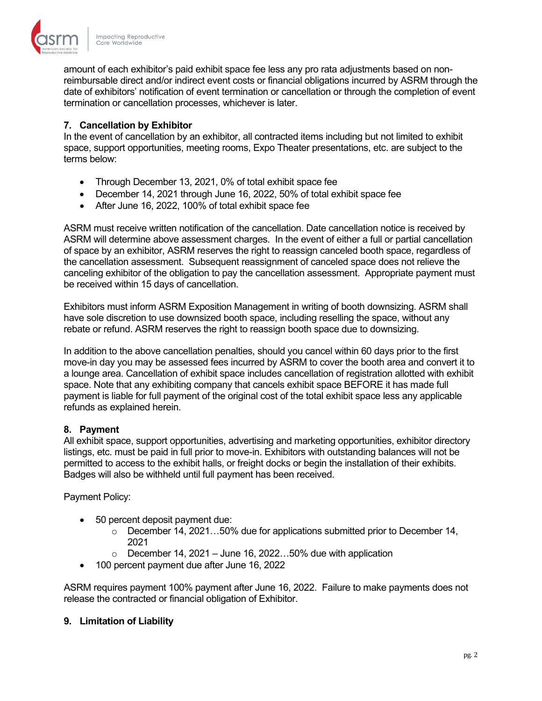

amount of each exhibitor's paid exhibit space fee less any pro rata adjustments based on nonreimbursable direct and/or indirect event costs or financial obligations incurred by ASRM through the date of exhibitors' notification of event termination or cancellation or through the completion of event termination or cancellation processes, whichever is later.

# **7. Cancellation by Exhibitor**

In the event of cancellation by an exhibitor, all contracted items including but not limited to exhibit space, support opportunities, meeting rooms, Expo Theater presentations, etc. are subject to the terms below:

- Through December 13, 2021, 0% of total exhibit space fee
- December 14, 2021 through June 16, 2022, 50% of total exhibit space fee
- After June 16, 2022, 100% of total exhibit space fee

ASRM must receive written notification of the cancellation. Date cancellation notice is received by ASRM will determine above assessment charges. In the event of either a full or partial cancellation of space by an exhibitor, ASRM reserves the right to reassign canceled booth space, regardless of the cancellation assessment. Subsequent reassignment of canceled space does not relieve the canceling exhibitor of the obligation to pay the cancellation assessment. Appropriate payment must be received within 15 days of cancellation.

Exhibitors must inform ASRM Exposition Management in writing of booth downsizing. ASRM shall have sole discretion to use downsized booth space, including reselling the space, without any rebate or refund. ASRM reserves the right to reassign booth space due to downsizing.

In addition to the above cancellation penalties, should you cancel within 60 days prior to the first move-in day you may be assessed fees incurred by ASRM to cover the booth area and convert it to a lounge area. Cancellation of exhibit space includes cancellation of registration allotted with exhibit space. Note that any exhibiting company that cancels exhibit space BEFORE it has made full payment is liable for full payment of the original cost of the total exhibit space less any applicable refunds as explained herein.

### **8. Payment**

All exhibit space, support opportunities, advertising and marketing opportunities, exhibitor directory listings, etc. must be paid in full prior to move-in. Exhibitors with outstanding balances will not be permitted to access to the exhibit halls, or freight docks or begin the installation of their exhibits. Badges will also be withheld until full payment has been received.

Payment Policy:

- 50 percent deposit payment due:
	- $\circ$  December 14, 2021...50% due for applications submitted prior to December 14, 2021
	- $\circ$  December 14, 2021 June 16, 2022...50% due with application
- 100 percent payment due after June 16, 2022

ASRM requires payment 100% payment after June 16, 2022. Failure to make payments does not release the contracted or financial obligation of Exhibitor.

### **9. Limitation of Liability**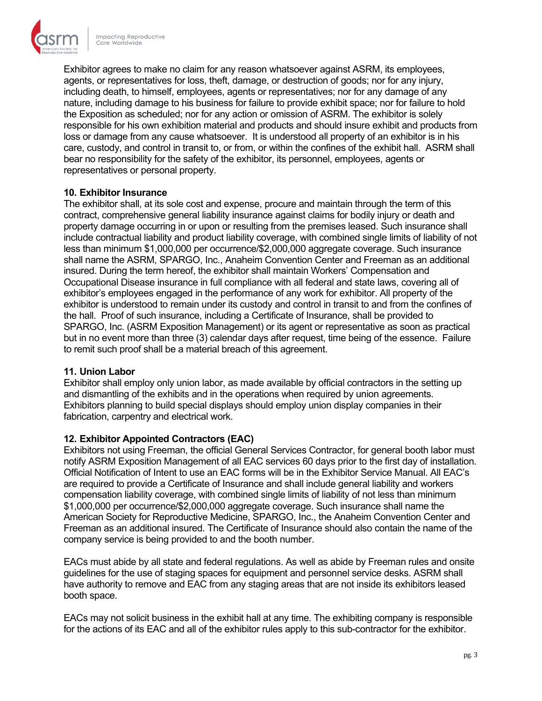

Exhibitor agrees to make no claim for any reason whatsoever against ASRM, its employees, agents, or representatives for loss, theft, damage, or destruction of goods; nor for any injury, including death, to himself, employees, agents or representatives; nor for any damage of any nature, including damage to his business for failure to provide exhibit space; nor for failure to hold the Exposition as scheduled; nor for any action or omission of ASRM. The exhibitor is solely responsible for his own exhibition material and products and should insure exhibit and products from loss or damage from any cause whatsoever. It is understood all property of an exhibitor is in his care, custody, and control in transit to, or from, or within the confines of the exhibit hall. ASRM shall bear no responsibility for the safety of the exhibitor, its personnel, employees, agents or representatives or personal property.

### **10. Exhibitor Insurance**

The exhibitor shall, at its sole cost and expense, procure and maintain through the term of this contract, comprehensive general liability insurance against claims for bodily injury or death and property damage occurring in or upon or resulting from the premises leased. Such insurance shall include contractual liability and product liability coverage, with combined single limits of liability of not less than minimum \$1,000,000 per occurrence/\$2,000,000 aggregate coverage. Such insurance shall name the ASRM, SPARGO, Inc., Anaheim Convention Center and Freeman as an additional insured. During the term hereof, the exhibitor shall maintain Workers' Compensation and Occupational Disease insurance in full compliance with all federal and state laws, covering all of exhibitor's employees engaged in the performance of any work for exhibitor. All property of the exhibitor is understood to remain under its custody and control in transit to and from the confines of the hall. Proof of such insurance, including a Certificate of Insurance, shall be provided to SPARGO, Inc. (ASRM Exposition Management) or its agent or representative as soon as practical but in no event more than three (3) calendar days after request, time being of the essence. Failure to remit such proof shall be a material breach of this agreement.

### **11. Union Labor**

Exhibitor shall employ only union labor, as made available by official contractors in the setting up and dismantling of the exhibits and in the operations when required by union agreements. Exhibitors planning to build special displays should employ union display companies in their fabrication, carpentry and electrical work.

### **12. Exhibitor Appointed Contractors (EAC)**

Exhibitors not using Freeman, the official General Services Contractor, for general booth labor must notify ASRM Exposition Management of all EAC services 60 days prior to the first day of installation. Official Notification of Intent to use an EAC forms will be in the Exhibitor Service Manual. All EAC's are required to provide a Certificate of Insurance and shall include general liability and workers compensation liability coverage, with combined single limits of liability of not less than minimum \$1,000,000 per occurrence/\$2,000,000 aggregate coverage. Such insurance shall name the American Society for Reproductive Medicine, SPARGO, Inc., the Anaheim Convention Center and Freeman as an additional insured. The Certificate of Insurance should also contain the name of the company service is being provided to and the booth number.

EACs must abide by all state and federal regulations. As well as abide by Freeman rules and onsite guidelines for the use of staging spaces for equipment and personnel service desks. ASRM shall have authority to remove and EAC from any staging areas that are not inside its exhibitors leased booth space.

EACs may not solicit business in the exhibit hall at any time. The exhibiting company is responsible for the actions of its EAC and all of the exhibitor rules apply to this sub-contractor for the exhibitor.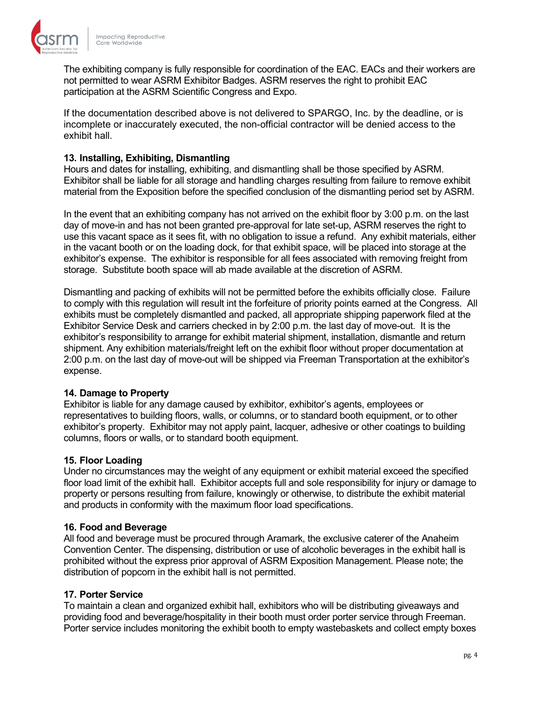

The exhibiting company is fully responsible for coordination of the EAC. EACs and their workers are not permitted to wear ASRM Exhibitor Badges. ASRM reserves the right to prohibit EAC participation at the ASRM Scientific Congress and Expo.

If the documentation described above is not delivered to SPARGO, Inc. by the deadline, or is incomplete or inaccurately executed, the non-official contractor will be denied access to the exhibit hall.

# **13. Installing, Exhibiting, Dismantling**

Hours and dates for installing, exhibiting, and dismantling shall be those specified by ASRM. Exhibitor shall be liable for all storage and handling charges resulting from failure to remove exhibit material from the Exposition before the specified conclusion of the dismantling period set by ASRM.

In the event that an exhibiting company has not arrived on the exhibit floor by 3:00 p.m. on the last day of move-in and has not been granted pre-approval for late set-up, ASRM reserves the right to use this vacant space as it sees fit, with no obligation to issue a refund. Any exhibit materials, either in the vacant booth or on the loading dock, for that exhibit space, will be placed into storage at the exhibitor's expense. The exhibitor is responsible for all fees associated with removing freight from storage. Substitute booth space will ab made available at the discretion of ASRM.

Dismantling and packing of exhibits will not be permitted before the exhibits officially close. Failure to comply with this regulation will result int the forfeiture of priority points earned at the Congress. All exhibits must be completely dismantled and packed, all appropriate shipping paperwork filed at the Exhibitor Service Desk and carriers checked in by 2:00 p.m. the last day of move-out. It is the exhibitor's responsibility to arrange for exhibit material shipment, installation, dismantle and return shipment. Any exhibition materials/freight left on the exhibit floor without proper documentation at 2:00 p.m. on the last day of move-out will be shipped via Freeman Transportation at the exhibitor's expense.

### **14. Damage to Property**

Exhibitor is liable for any damage caused by exhibitor, exhibitor's agents, employees or representatives to building floors, walls, or columns, or to standard booth equipment, or to other exhibitor's property. Exhibitor may not apply paint, lacquer, adhesive or other coatings to building columns, floors or walls, or to standard booth equipment.

### **15. Floor Loading**

Under no circumstances may the weight of any equipment or exhibit material exceed the specified floor load limit of the exhibit hall. Exhibitor accepts full and sole responsibility for injury or damage to property or persons resulting from failure, knowingly or otherwise, to distribute the exhibit material and products in conformity with the maximum floor load specifications.

### **16. Food and Beverage**

All food and beverage must be procured through Aramark, the exclusive caterer of the Anaheim Convention Center. The dispensing, distribution or use of alcoholic beverages in the exhibit hall is prohibited without the express prior approval of ASRM Exposition Management. Please note; the distribution of popcorn in the exhibit hall is not permitted.

### **17. Porter Service**

To maintain a clean and organized exhibit hall, exhibitors who will be distributing giveaways and providing food and beverage/hospitality in their booth must order porter service through Freeman. Porter service includes monitoring the exhibit booth to empty wastebaskets and collect empty boxes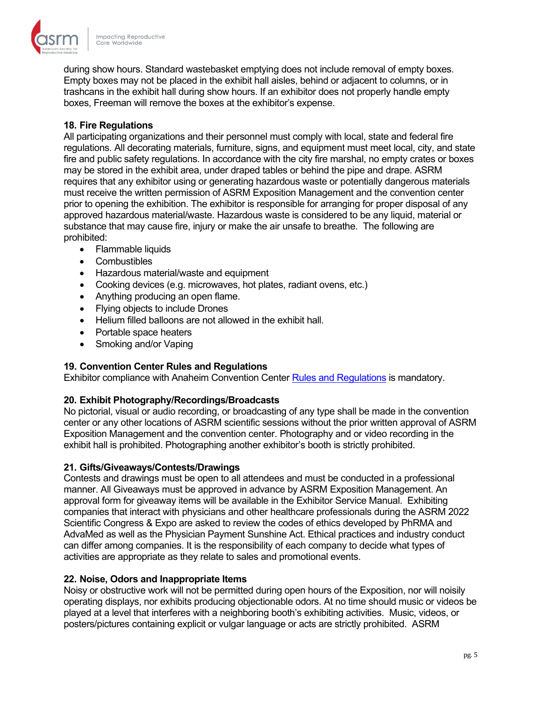

during show hours. Standard wastebasket emptying does not include removal of empty boxes. Empty boxes may not be placed in the exhibit hall aisles, behind or adjacent to columns, or in trashcans in the exhibit hall during show hours. If an exhibitor does not properly handle empty boxes, Freeman will remove the boxes at the exhibitor's expense.

## **18. Fire Regulations**

All participating organizations and their personnel must comply with local, state and federal fire regulations. All decorating materials, furniture, signs, and equipment must meet local, city, and state fire and public safety regulations. In accordance with the city fire marshal, no empty crates or boxes may be stored in the exhibit area, under draped tables or behind the pipe and drape. ASRM requires that any exhibitor using or generating hazardous waste or potentially dangerous materials must receive the written permission of ASRM Exposition Management and the convention center prior to opening the exhibition. The exhibitor is responsible for arranging for proper disposal of any approved hazardous material/waste. Hazardous waste is considered to be any liquid, material or substance that may cause fire, injury or make the air unsafe to breathe. The following are prohibited:

- Flammable liquids
- Combustibles
- Hazardous material/waste and equipment
- Cooking devices (e.g. microwaves, hot plates, radiant ovens, etc.)
- Anything producing an open flame.
- Flying objects to include Drones
- Helium filled balloons are not allowed in the exhibit hall.
- Portable space heaters
- Smoking and/or Vaping

### **19. Convention Center Rules and Regulations**

Exhibitor compliance with Anaheim Convention Center [Rules and Regulations](https://mvdataappstorageuscaprod.blob.core.windows.net/medialibrary-a80c98259b534b80bff562b70586bb6f/92327a1267034b67b7ad6cdb581e3d99/4c1bdb79a4ac4921a40ec4a138d2a72b/Original/Policies,%20Rules%20&%20Regulations.pdf?sv=2017-04-17&sr=b&si=201904101623&sig=Maa%2FILG8FdRB98%2BK9CQXehMwvWOhUPuC0GTDYnC0CpU%3D&st=0515-12-17T20%3A44%3A11Z&se=2031-10-06T01%3A51%3A37Z&rsct=application%2Fpdf&rscd=inline) is mandatory.

### **20. Exhibit Photography/Recordings/Broadcasts**

No pictorial, visual or audio recording, or broadcasting of any type shall be made in the convention center or any other locations of ASRM scientific sessions without the prior written approval of ASRM Exposition Management and the convention center. Photography and or video recording in the exhibit hall is prohibited. Photographing another exhibitor's booth is strictly prohibited.

### **21. Gifts/Giveaways/Contests/Drawings**

Contests and drawings must be open to all attendees and must be conducted in a professional manner. All Giveaways must be approved in advance by ASRM Exposition Management. An approval form for giveaway items will be available in the Exhibitor Service Manual. Exhibiting companies that interact with physicians and other healthcare professionals during the ASRM 2022 Scientific Congress & Expo are asked to review the codes of ethics developed by PhRMA and AdvaMed as well as the Physician Payment Sunshine Act. Ethical practices and industry conduct can differ among companies. It is the responsibility of each company to decide what types of activities are appropriate as they relate to sales and promotional events.

### **22. Noise, Odors and Inappropriate Items**

Noisy or obstructive work will not be permitted during open hours of the Exposition, nor will noisily operating displays, nor exhibits producing objectionable odors. At no time should music or videos be played at a level that interferes with a neighboring booth's exhibiting activities. Music, videos, or posters/pictures containing explicit or vulgar language or acts are strictly prohibited. ASRM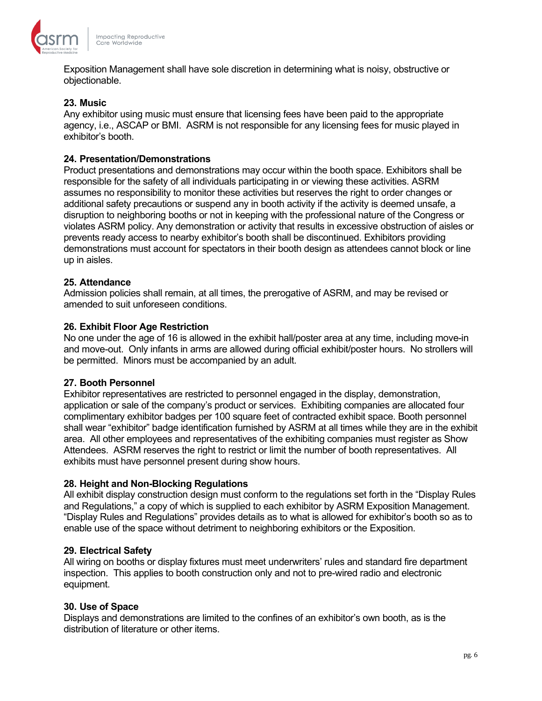

Exposition Management shall have sole discretion in determining what is noisy, obstructive or objectionable.

### **23. Music**

Any exhibitor using music must ensure that licensing fees have been paid to the appropriate agency, i.e., ASCAP or BMI. ASRM is not responsible for any licensing fees for music played in exhibitor's booth.

#### **24. Presentation/Demonstrations**

Product presentations and demonstrations may occur within the booth space. Exhibitors shall be responsible for the safety of all individuals participating in or viewing these activities. ASRM assumes no responsibility to monitor these activities but reserves the right to order changes or additional safety precautions or suspend any in booth activity if the activity is deemed unsafe, a disruption to neighboring booths or not in keeping with the professional nature of the Congress or violates ASRM policy. Any demonstration or activity that results in excessive obstruction of aisles or prevents ready access to nearby exhibitor's booth shall be discontinued. Exhibitors providing demonstrations must account for spectators in their booth design as attendees cannot block or line up in aisles.

#### **25. Attendance**

Admission policies shall remain, at all times, the prerogative of ASRM, and may be revised or amended to suit unforeseen conditions.

#### **26. Exhibit Floor Age Restriction**

No one under the age of 16 is allowed in the exhibit hall/poster area at any time, including move-in and move-out. Only infants in arms are allowed during official exhibit/poster hours. No strollers will be permitted. Minors must be accompanied by an adult.

#### **27. Booth Personnel**

Exhibitor representatives are restricted to personnel engaged in the display, demonstration, application or sale of the company's product or services. Exhibiting companies are allocated four complimentary exhibitor badges per 100 square feet of contracted exhibit space. Booth personnel shall wear "exhibitor" badge identification furnished by ASRM at all times while they are in the exhibit area. All other employees and representatives of the exhibiting companies must register as Show Attendees. ASRM reserves the right to restrict or limit the number of booth representatives. All exhibits must have personnel present during show hours.

#### **28. Height and Non-Blocking Regulations**

All exhibit display construction design must conform to the regulations set forth in the "Display Rules and Regulations," a copy of which is supplied to each exhibitor by ASRM Exposition Management. "Display Rules and Regulations" provides details as to what is allowed for exhibitor's booth so as to enable use of the space without detriment to neighboring exhibitors or the Exposition.

#### **29. Electrical Safety**

All wiring on booths or display fixtures must meet underwriters' rules and standard fire department inspection. This applies to booth construction only and not to pre-wired radio and electronic equipment.

#### **30. Use of Space**

Displays and demonstrations are limited to the confines of an exhibitor's own booth, as is the distribution of literature or other items.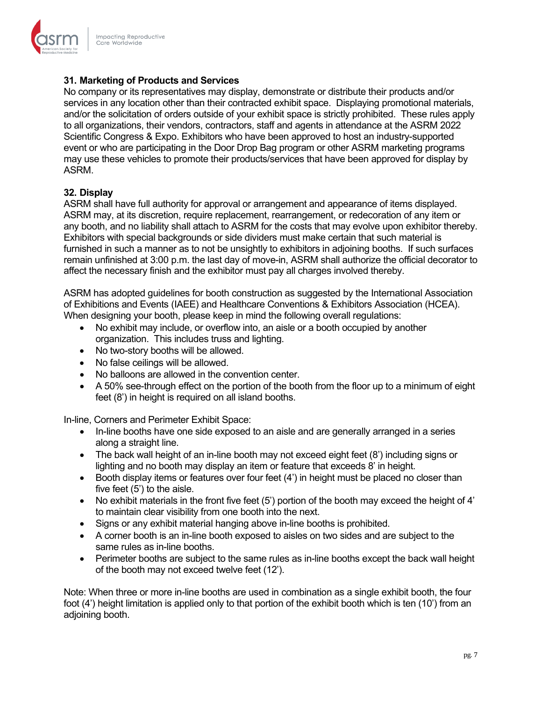

# **31. Marketing of Products and Services**

No company or its representatives may display, demonstrate or distribute their products and/or services in any location other than their contracted exhibit space. Displaying promotional materials, and/or the solicitation of orders outside of your exhibit space is strictly prohibited. These rules apply to all organizations, their vendors, contractors, staff and agents in attendance at the ASRM 2022 Scientific Congress & Expo. Exhibitors who have been approved to host an industry-supported event or who are participating in the Door Drop Bag program or other ASRM marketing programs may use these vehicles to promote their products/services that have been approved for display by ASRM.

# **32. Display**

ASRM shall have full authority for approval or arrangement and appearance of items displayed. ASRM may, at its discretion, require replacement, rearrangement, or redecoration of any item or any booth, and no liability shall attach to ASRM for the costs that may evolve upon exhibitor thereby. Exhibitors with special backgrounds or side dividers must make certain that such material is furnished in such a manner as to not be unsightly to exhibitors in adjoining booths. If such surfaces remain unfinished at 3:00 p.m. the last day of move-in, ASRM shall authorize the official decorator to affect the necessary finish and the exhibitor must pay all charges involved thereby.

ASRM has adopted guidelines for booth construction as suggested by the International Association of Exhibitions and Events (IAEE) and Healthcare Conventions & Exhibitors Association (HCEA). When designing your booth, please keep in mind the following overall regulations:

- No exhibit may include, or overflow into, an aisle or a booth occupied by another organization. This includes truss and lighting.
- No two-story booths will be allowed.
- No false ceilings will be allowed.
- No balloons are allowed in the convention center.
- A 50% see-through effect on the portion of the booth from the floor up to a minimum of eight feet (8') in height is required on all island booths.

In-line, Corners and Perimeter Exhibit Space:

- In-line booths have one side exposed to an aisle and are generally arranged in a series along a straight line.
- The back wall height of an in-line booth may not exceed eight feet (8') including signs or lighting and no booth may display an item or feature that exceeds 8' in height.
- Booth display items or features over four feet (4') in height must be placed no closer than five feet (5') to the aisle.
- No exhibit materials in the front five feet (5') portion of the booth may exceed the height of 4' to maintain clear visibility from one booth into the next.
- Signs or any exhibit material hanging above in-line booths is prohibited.
- A corner booth is an in-line booth exposed to aisles on two sides and are subject to the same rules as in-line booths.
- Perimeter booths are subject to the same rules as in-line booths except the back wall height of the booth may not exceed twelve feet (12').

Note: When three or more in-line booths are used in combination as a single exhibit booth, the four foot (4') height limitation is applied only to that portion of the exhibit booth which is ten (10') from an adjoining booth.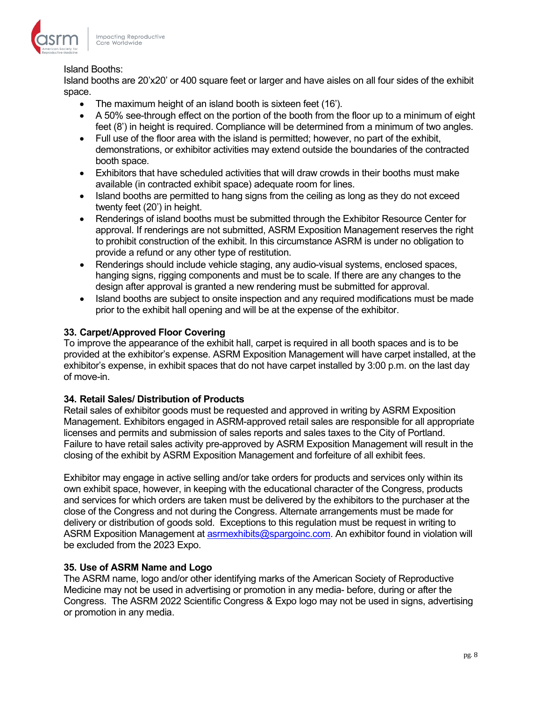

## Island Booths:

Island booths are 20'x20' or 400 square feet or larger and have aisles on all four sides of the exhibit space.

- The maximum height of an island booth is sixteen feet (16').
- A 50% see-through effect on the portion of the booth from the floor up to a minimum of eight feet (8') in height is required. Compliance will be determined from a minimum of two angles.
- Full use of the floor area with the island is permitted; however, no part of the exhibit, demonstrations, or exhibitor activities may extend outside the boundaries of the contracted booth space.
- Exhibitors that have scheduled activities that will draw crowds in their booths must make available (in contracted exhibit space) adequate room for lines.
- Island booths are permitted to hang signs from the ceiling as long as they do not exceed twenty feet (20') in height.
- Renderings of island booths must be submitted through the Exhibitor Resource Center for approval. If renderings are not submitted, ASRM Exposition Management reserves the right to prohibit construction of the exhibit. In this circumstance ASRM is under no obligation to provide a refund or any other type of restitution.
- Renderings should include vehicle staging, any audio-visual systems, enclosed spaces. hanging signs, rigging components and must be to scale. If there are any changes to the design after approval is granted a new rendering must be submitted for approval.
- Island booths are subject to onsite inspection and any required modifications must be made prior to the exhibit hall opening and will be at the expense of the exhibitor.

# **33. Carpet/Approved Floor Covering**

To improve the appearance of the exhibit hall, carpet is required in all booth spaces and is to be provided at the exhibitor's expense. ASRM Exposition Management will have carpet installed, at the exhibitor's expense, in exhibit spaces that do not have carpet installed by 3:00 p.m. on the last day of move-in.

# **34. Retail Sales/ Distribution of Products**

Retail sales of exhibitor goods must be requested and approved in writing by ASRM Exposition Management. Exhibitors engaged in ASRM-approved retail sales are responsible for all appropriate licenses and permits and submission of sales reports and sales taxes to the City of Portland. Failure to have retail sales activity pre-approved by ASRM Exposition Management will result in the closing of the exhibit by ASRM Exposition Management and forfeiture of all exhibit fees.

Exhibitor may engage in active selling and/or take orders for products and services only within its own exhibit space, however, in keeping with the educational character of the Congress, products and services for which orders are taken must be delivered by the exhibitors to the purchaser at the close of the Congress and not during the Congress. Alternate arrangements must be made for delivery or distribution of goods sold. Exceptions to this regulation must be request in writing to ASRM Exposition Management at [asrmexhibits@spargoinc.com.](mailto:asrmexhibits@spargoinc.com) An exhibitor found in violation will be excluded from the 2023 Expo.

### **35. Use of ASRM Name and Logo**

The ASRM name, logo and/or other identifying marks of the American Society of Reproductive Medicine may not be used in advertising or promotion in any media- before, during or after the Congress. The ASRM 2022 Scientific Congress & Expo logo may not be used in signs, advertising or promotion in any media.